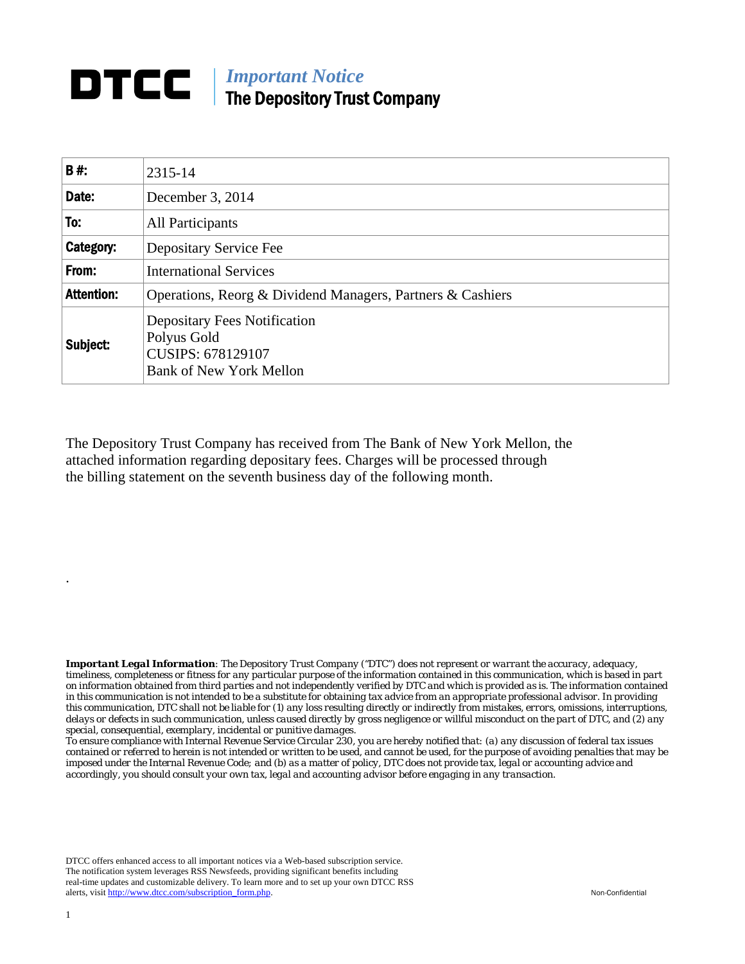## **DTCC** | *Important Notice* The Depository Trust Company

| B#:               | 2315-14                                                                                                          |
|-------------------|------------------------------------------------------------------------------------------------------------------|
| Date:             | December 3, 2014                                                                                                 |
| To:               | All Participants                                                                                                 |
| Category:         | Depositary Service Fee                                                                                           |
| From:             | <b>International Services</b>                                                                                    |
| <b>Attention:</b> | Operations, Reorg & Dividend Managers, Partners & Cashiers                                                       |
| Subject:          | <b>Depositary Fees Notification</b><br>Polyus Gold<br><b>CUSIPS: 678129107</b><br><b>Bank of New York Mellon</b> |

The Depository Trust Company has received from The Bank of New York Mellon, the attached information regarding depositary fees. Charges will be processed through the billing statement on the seventh business day of the following month.

*Important Legal Information: The Depository Trust Company ("DTC") does not represent or warrant the accuracy, adequacy, timeliness, completeness or fitness for any particular purpose of the information contained in this communication, which is based in part on information obtained from third parties and not independently verified by DTC and which is provided as is. The information contained in this communication is not intended to be a substitute for obtaining tax advice from an appropriate professional advisor. In providing this communication, DTC shall not be liable for (1) any loss resulting directly or indirectly from mistakes, errors, omissions, interruptions, delays or defects in such communication, unless caused directly by gross negligence or willful misconduct on the part of DTC, and (2) any special, consequential, exemplary, incidental or punitive damages.* 

*To ensure compliance with Internal Revenue Service Circular 230, you are hereby notified that: (a) any discussion of federal tax issues contained or referred to herein is not intended or written to be used, and cannot be used, for the purpose of avoiding penalties that may be imposed under the Internal Revenue Code; and (b) as a matter of policy, DTC does not provide tax, legal or accounting advice and accordingly, you should consult your own tax, legal and accounting advisor before engaging in any transaction.*

DTCC offers enhanced access to all important notices via a Web-based subscription service. The notification system leverages RSS Newsfeeds, providing significant benefits including real-time updates and customizable delivery. To learn more and to set up your own DTCC RSS alerts, visit http://www.dtcc.com/subscription\_form.php. Non-Confidential

.